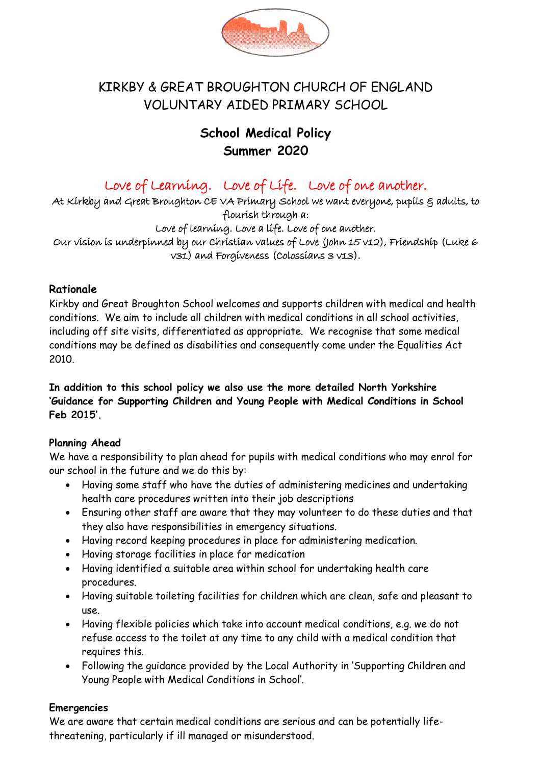

# KIRKBY & GREAT BROUGHTON CHURCH OF ENGLAND VOLUNTARY AIDED PRIMARY SCHOOL

# **School Medical Policy Summer 2020**

# Love of Learning. Love of Life. Love of one another.

At Kirkby and Great Broughton CE VA Primary School we want everyone, pupils § adults, to flourish through a:

Love of learning. Love a life. Love of one another. Our vision is underpinned by our Christian values of Love (John 15 v12), Friendship (Luke 6 v31) and Forgiveness (Colossians 3 v13).

# **Rationale**

Kirkby and Great Broughton School welcomes and supports children with medical and health conditions. We aim to include all children with medical conditions in all school activities, including off site visits, differentiated as appropriate. We recognise that some medical conditions may be defined as disabilities and consequently come under the Equalities Act 2010.

**In addition to this school policy we also use the more detailed North Yorkshire 'Guidance for Supporting Children and Young People with Medical Conditions in School Feb 2015'.**

# **Planning Ahead**

We have a responsibility to plan ahead for pupils with medical conditions who may enrol for our school in the future and we do this by:

- Having some staff who have the duties of administering medicines and undertaking health care procedures written into their job descriptions
- Ensuring other staff are aware that they may volunteer to do these duties and that they also have responsibilities in emergency situations.
- Having record keeping procedures in place for administering medication.
- Having storage facilities in place for medication
- Having identified a suitable area within school for undertaking health care procedures.
- Having suitable toileting facilities for children which are clean, safe and pleasant to use.
- Having flexible policies which take into account medical conditions, e.g. we do not refuse access to the toilet at any time to any child with a medical condition that requires this.
- Following the guidance provided by the Local Authority in 'Supporting Children and Young People with Medical Conditions in School'.

# **Emergencies**

We are aware that certain medical conditions are serious and can be potentially lifethreatening, particularly if ill managed or misunderstood.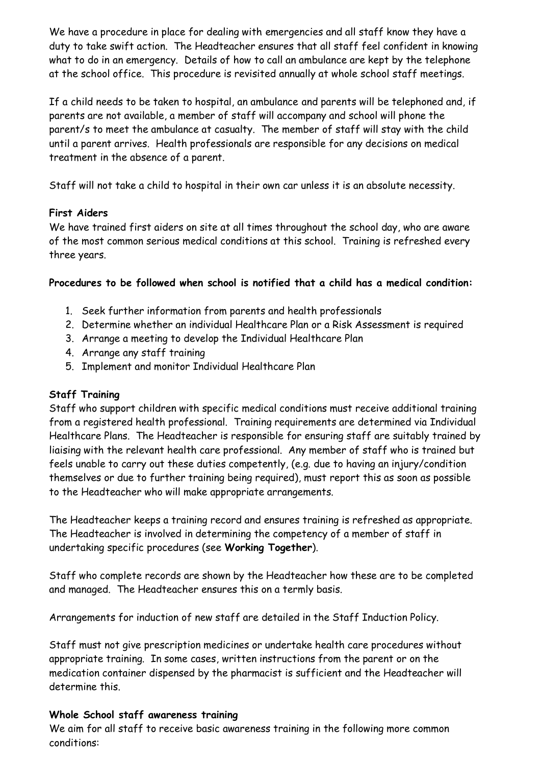We have a procedure in place for dealing with emergencies and all staff know they have a duty to take swift action. The Headteacher ensures that all staff feel confident in knowing what to do in an emergency. Details of how to call an ambulance are kept by the telephone at the school office. This procedure is revisited annually at whole school staff meetings.

If a child needs to be taken to hospital, an ambulance and parents will be telephoned and, if parents are not available, a member of staff will accompany and school will phone the parent/s to meet the ambulance at casualty. The member of staff will stay with the child until a parent arrives. Health professionals are responsible for any decisions on medical treatment in the absence of a parent.

Staff will not take a child to hospital in their own car unless it is an absolute necessity.

# **First Aiders**

We have trained first aiders on site at all times throughout the school day, who are aware of the most common serious medical conditions at this school. Training is refreshed every three years.

# **Procedures to be followed when school is notified that a child has a medical condition:**

- 1. Seek further information from parents and health professionals
- 2. Determine whether an individual Healthcare Plan or a Risk Assessment is required
- 3. Arrange a meeting to develop the Individual Healthcare Plan
- 4. Arrange any staff training
- 5. Implement and monitor Individual Healthcare Plan

# **Staff Training**

Staff who support children with specific medical conditions must receive additional training from a registered health professional. Training requirements are determined via Individual Healthcare Plans. The Headteacher is responsible for ensuring staff are suitably trained by liaising with the relevant health care professional. Any member of staff who is trained but feels unable to carry out these duties competently, (e.g. due to having an injury/condition themselves or due to further training being required), must report this as soon as possible to the Headteacher who will make appropriate arrangements.

The Headteacher keeps a training record and ensures training is refreshed as appropriate. The Headteacher is involved in determining the competency of a member of staff in undertaking specific procedures (see **Working Together**).

Staff who complete records are shown by the Headteacher how these are to be completed and managed. The Headteacher ensures this on a termly basis.

Arrangements for induction of new staff are detailed in the Staff Induction Policy.

Staff must not give prescription medicines or undertake health care procedures without appropriate training. In some cases, written instructions from the parent or on the medication container dispensed by the pharmacist is sufficient and the Headteacher will determine this.

# **Whole School staff awareness training**

We aim for all staff to receive basic awareness training in the following more common conditions: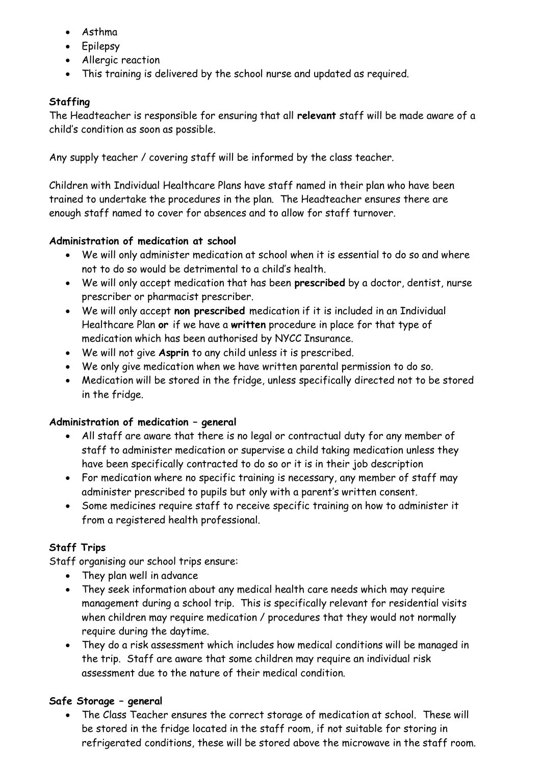- Asthma
- Epilepsy
- Allergic reaction
- This training is delivered by the school nurse and updated as required.

# **Staffing**

The Headteacher is responsible for ensuring that all **relevant** staff will be made aware of a child's condition as soon as possible.

Any supply teacher / covering staff will be informed by the class teacher.

Children with Individual Healthcare Plans have staff named in their plan who have been trained to undertake the procedures in the plan. The Headteacher ensures there are enough staff named to cover for absences and to allow for staff turnover.

# **Administration of medication at school**

- We will only administer medication at school when it is essential to do so and where not to do so would be detrimental to a child's health.
- We will only accept medication that has been **prescribed** by a doctor, dentist, nurse prescriber or pharmacist prescriber.
- We will only accept **non prescribed** medication if it is included in an Individual Healthcare Plan **or** if we have a **written** procedure in place for that type of medication which has been authorised by NYCC Insurance.
- We will not give **Asprin** to any child unless it is prescribed.
- We only give medication when we have written parental permission to do so.
- Medication will be stored in the fridge, unless specifically directed not to be stored in the fridge.

# **Administration of medication – general**

- All staff are aware that there is no legal or contractual duty for any member of staff to administer medication or supervise a child taking medication unless they have been specifically contracted to do so or it is in their job description
- For medication where no specific training is necessary, any member of staff may administer prescribed to pupils but only with a parent's written consent.
- Some medicines require staff to receive specific training on how to administer it from a registered health professional.

# **Staff Trips**

Staff organising our school trips ensure:

- They plan well in advance
- They seek information about any medical health care needs which may require management during a school trip. This is specifically relevant for residential visits when children may require medication / procedures that they would not normally require during the daytime.
- They do a risk assessment which includes how medical conditions will be managed in the trip. Staff are aware that some children may require an individual risk assessment due to the nature of their medical condition.

# **Safe Storage – general**

• The Class Teacher ensures the correct storage of medication at school. These will be stored in the fridge located in the staff room, if not suitable for storing in refrigerated conditions, these will be stored above the microwave in the staff room.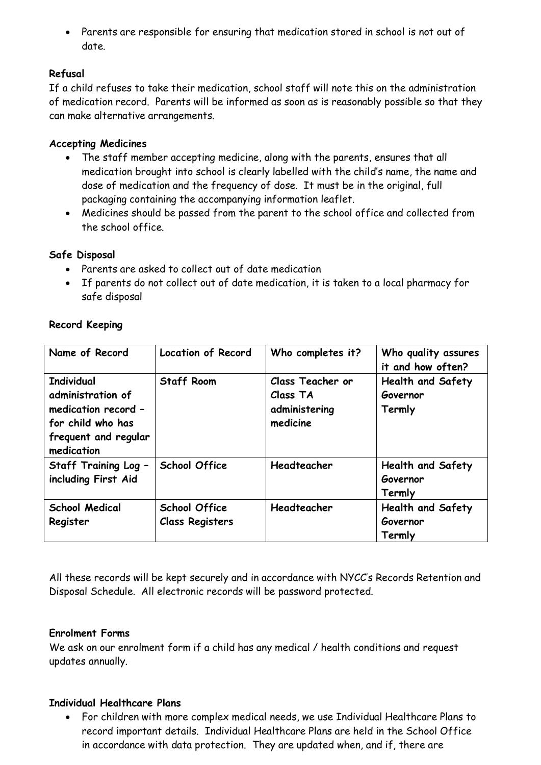• Parents are responsible for ensuring that medication stored in school is not out of date.

# **Refusal**

If a child refuses to take their medication, school staff will note this on the administration of medication record. Parents will be informed as soon as is reasonably possible so that they can make alternative arrangements.

# **Accepting Medicines**

- The staff member accepting medicine, along with the parents, ensures that all medication brought into school is clearly labelled with the child's name, the name and dose of medication and the frequency of dose. It must be in the original, full packaging containing the accompanying information leaflet.
- Medicines should be passed from the parent to the school office and collected from the school office.

# **Safe Disposal**

- Parents are asked to collect out of date medication
- If parents do not collect out of date medication, it is taken to a local pharmacy for safe disposal

| Name of Record                                                                                                           | <b>Location of Record</b>                      | Who completes it?                                         | Who quality assures<br>it and how often?       |
|--------------------------------------------------------------------------------------------------------------------------|------------------------------------------------|-----------------------------------------------------------|------------------------------------------------|
| <b>Individual</b><br>administration of<br>medication record -<br>for child who has<br>frequent and regular<br>medication | <b>Staff Room</b>                              | Class Teacher or<br>Class TA<br>administering<br>medicine | <b>Health and Safety</b><br>Governor<br>Termly |
| Staff Training Log -<br>including First Aid                                                                              | <b>School Office</b>                           | Headteacher                                               | <b>Health and Safety</b><br>Governor<br>Termly |
| <b>School Medical</b><br>Register                                                                                        | <b>School Office</b><br><b>Class Registers</b> | Headteacher                                               | <b>Health and Safety</b><br>Governor<br>Termly |

# **Record Keeping**

All these records will be kept securely and in accordance with NYCC's Records Retention and Disposal Schedule. All electronic records will be password protected.

# **Enrolment Forms**

We ask on our enrolment form if a child has any medical / health conditions and request updates annually.

# **Individual Healthcare Plans**

• For children with more complex medical needs, we use Individual Healthcare Plans to record important details. Individual Healthcare Plans are held in the School Office in accordance with data protection. They are updated when, and if, there are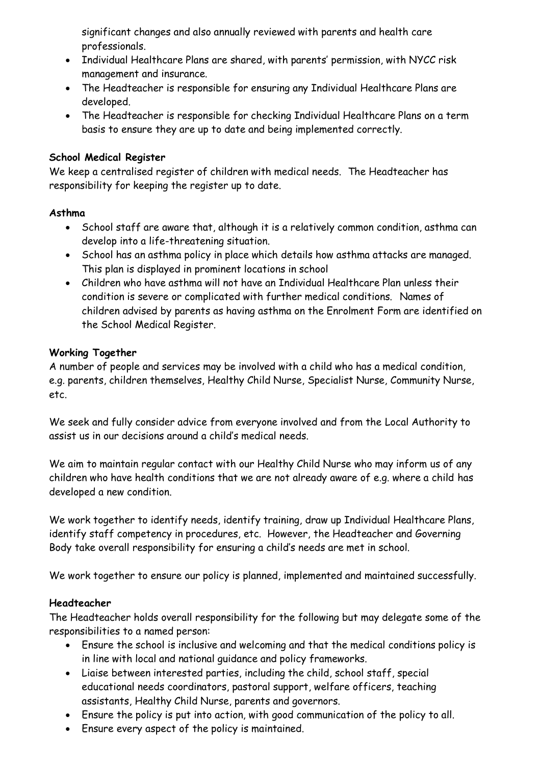significant changes and also annually reviewed with parents and health care professionals.

- Individual Healthcare Plans are shared, with parents' permission, with NYCC risk management and insurance.
- The Headteacher is responsible for ensuring any Individual Healthcare Plans are developed.
- The Headteacher is responsible for checking Individual Healthcare Plans on a term basis to ensure they are up to date and being implemented correctly.

# **School Medical Register**

We keep a centralised register of children with medical needs. The Headteacher has responsibility for keeping the register up to date.

#### **Asthma**

- School staff are aware that, although it is a relatively common condition, asthma can develop into a life-threatening situation.
- School has an asthma policy in place which details how asthma attacks are managed. This plan is displayed in prominent locations in school
- Children who have asthma will not have an Individual Healthcare Plan unless their condition is severe or complicated with further medical conditions. Names of children advised by parents as having asthma on the Enrolment Form are identified on the School Medical Register.

#### **Working Together**

A number of people and services may be involved with a child who has a medical condition, e.g. parents, children themselves, Healthy Child Nurse, Specialist Nurse, Community Nurse, etc.

We seek and fully consider advice from everyone involved and from the Local Authority to assist us in our decisions around a child's medical needs.

We aim to maintain regular contact with our Healthy Child Nurse who may inform us of any children who have health conditions that we are not already aware of e.g. where a child has developed a new condition.

We work together to identify needs, identify training, draw up Individual Healthcare Plans, identify staff competency in procedures, etc. However, the Headteacher and Governing Body take overall responsibility for ensuring a child's needs are met in school.

We work together to ensure our policy is planned, implemented and maintained successfully.

# **Headteacher**

The Headteacher holds overall responsibility for the following but may delegate some of the responsibilities to a named person:

- Ensure the school is inclusive and welcoming and that the medical conditions policy is in line with local and national guidance and policy frameworks.
- Liaise between interested parties, including the child, school staff, special educational needs coordinators, pastoral support, welfare officers, teaching assistants, Healthy Child Nurse, parents and governors.
- Ensure the policy is put into action, with good communication of the policy to all.
- Ensure every aspect of the policy is maintained.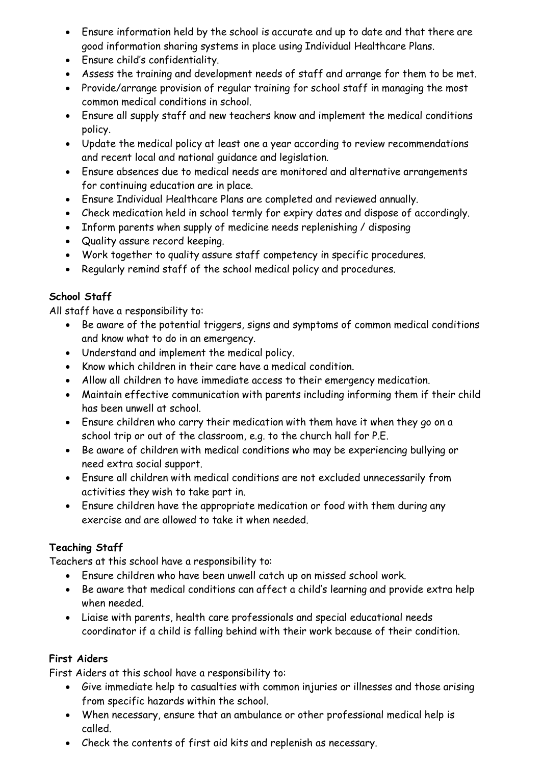- Ensure information held by the school is accurate and up to date and that there are good information sharing systems in place using Individual Healthcare Plans.
- Ensure child's confidentiality.
- Assess the training and development needs of staff and arrange for them to be met.
- Provide/arrange provision of regular training for school staff in managing the most common medical conditions in school.
- Ensure all supply staff and new teachers know and implement the medical conditions policy.
- Update the medical policy at least one a year according to review recommendations and recent local and national guidance and legislation.
- Ensure absences due to medical needs are monitored and alternative arrangements for continuing education are in place.
- Ensure Individual Healthcare Plans are completed and reviewed annually.
- Check medication held in school termly for expiry dates and dispose of accordingly.
- Inform parents when supply of medicine needs replenishing / disposing
- Quality assure record keeping.
- Work together to quality assure staff competency in specific procedures.
- Regularly remind staff of the school medical policy and procedures.

# **School Staff**

All staff have a responsibility to:

- Be aware of the potential triggers, signs and symptoms of common medical conditions and know what to do in an emergency.
- Understand and implement the medical policy.
- Know which children in their care have a medical condition.
- Allow all children to have immediate access to their emergency medication.
- Maintain effective communication with parents including informing them if their child has been unwell at school.
- Ensure children who carry their medication with them have it when they go on a school trip or out of the classroom, e.g. to the church hall for P.E.
- Be aware of children with medical conditions who may be experiencing bullying or need extra social support.
- Ensure all children with medical conditions are not excluded unnecessarily from activities they wish to take part in.
- Ensure children have the appropriate medication or food with them during any exercise and are allowed to take it when needed.

# **Teaching Staff**

Teachers at this school have a responsibility to:

- Ensure children who have been unwell catch up on missed school work.
- Be aware that medical conditions can affect a child's learning and provide extra help when needed.
- Liaise with parents, health care professionals and special educational needs coordinator if a child is falling behind with their work because of their condition.

# **First Aiders**

First Aiders at this school have a responsibility to:

- Give immediate help to casualties with common injuries or illnesses and those arising from specific hazards within the school.
- When necessary, ensure that an ambulance or other professional medical help is called.
- Check the contents of first aid kits and replenish as necessary.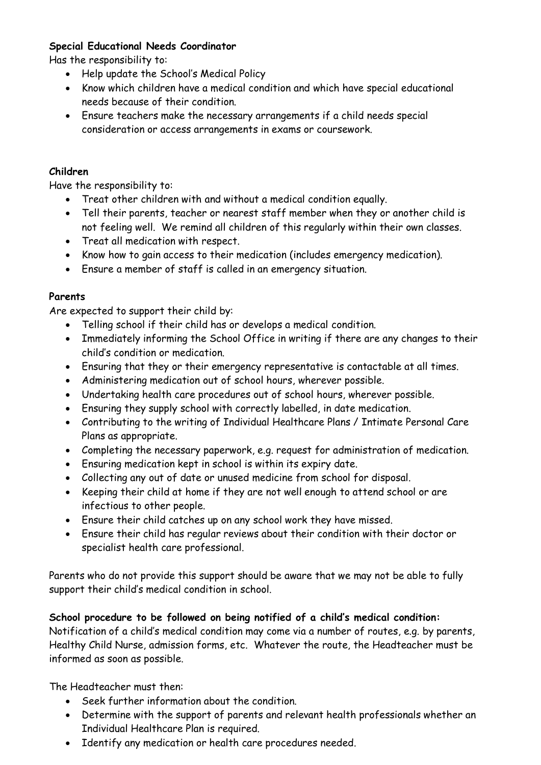# **Special Educational Needs Coordinator**

Has the responsibility to:

- Help update the School's Medical Policy
- Know which children have a medical condition and which have special educational needs because of their condition.
- Ensure teachers make the necessary arrangements if a child needs special consideration or access arrangements in exams or coursework.

#### **Children**

Have the responsibility to:

- Treat other children with and without a medical condition equally.
- Tell their parents, teacher or nearest staff member when they or another child is not feeling well. We remind all children of this regularly within their own classes.
- Treat all medication with respect.
- Know how to gain access to their medication (includes emergency medication).
- Ensure a member of staff is called in an emergency situation.

#### **Parents**

Are expected to support their child by:

- Telling school if their child has or develops a medical condition.
- Immediately informing the School Office in writing if there are any changes to their child's condition or medication.
- Ensuring that they or their emergency representative is contactable at all times.
- Administering medication out of school hours, wherever possible.
- Undertaking health care procedures out of school hours, wherever possible.
- Ensuring they supply school with correctly labelled, in date medication.
- Contributing to the writing of Individual Healthcare Plans / Intimate Personal Care Plans as appropriate.
- Completing the necessary paperwork, e.g. request for administration of medication.
- Ensuring medication kept in school is within its expiry date.
- Collecting any out of date or unused medicine from school for disposal.
- Keeping their child at home if they are not well enough to attend school or are infectious to other people.
- Ensure their child catches up on any school work they have missed.
- Ensure their child has regular reviews about their condition with their doctor or specialist health care professional.

Parents who do not provide this support should be aware that we may not be able to fully support their child's medical condition in school.

# **School procedure to be followed on being notified of a child's medical condition:**

Notification of a child's medical condition may come via a number of routes, e.g. by parents, Healthy Child Nurse, admission forms, etc. Whatever the route, the Headteacher must be informed as soon as possible.

The Headteacher must then:

- Seek further information about the condition.
- Determine with the support of parents and relevant health professionals whether an Individual Healthcare Plan is required.
- Identify any medication or health care procedures needed.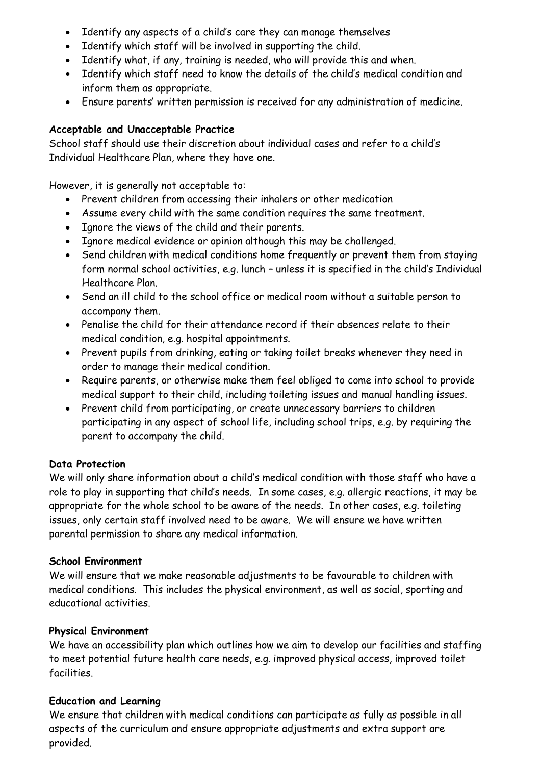- Identify any aspects of a child's care they can manage themselves
- Identify which staff will be involved in supporting the child.
- Identify what, if any, training is needed, who will provide this and when.
- Identify which staff need to know the details of the child's medical condition and inform them as appropriate.
- Ensure parents' written permission is received for any administration of medicine.

# **Acceptable and Unacceptable Practice**

School staff should use their discretion about individual cases and refer to a child's Individual Healthcare Plan, where they have one.

However, it is generally not acceptable to:

- Prevent children from accessing their inhalers or other medication
- Assume every child with the same condition requires the same treatment.
- Ignore the views of the child and their parents.
- Ignore medical evidence or opinion although this may be challenged.
- Send children with medical conditions home frequently or prevent them from staying form normal school activities, e.g. lunch – unless it is specified in the child's Individual Healthcare Plan.
- Send an ill child to the school office or medical room without a suitable person to accompany them.
- Penalise the child for their attendance record if their absences relate to their medical condition, e.g. hospital appointments.
- Prevent pupils from drinking, eating or taking toilet breaks whenever they need in order to manage their medical condition.
- Require parents, or otherwise make them feel obliged to come into school to provide medical support to their child, including toileting issues and manual handling issues.
- Prevent child from participating, or create unnecessary barriers to children participating in any aspect of school life, including school trips, e.g. by requiring the parent to accompany the child.

# **Data Protection**

We will only share information about a child's medical condition with those staff who have a role to play in supporting that child's needs. In some cases, e.g. allergic reactions, it may be appropriate for the whole school to be aware of the needs. In other cases, e.g. toileting issues, only certain staff involved need to be aware. We will ensure we have written parental permission to share any medical information.

# **School Environment**

We will ensure that we make reasonable adjustments to be favourable to children with medical conditions. This includes the physical environment, as well as social, sporting and educational activities.

# **Physical Environment**

We have an accessibility plan which outlines how we aim to develop our facilities and staffing to meet potential future health care needs, e.g. improved physical access, improved toilet facilities.

# **Education and Learning**

We ensure that children with medical conditions can participate as fully as possible in all aspects of the curriculum and ensure appropriate adjustments and extra support are provided.